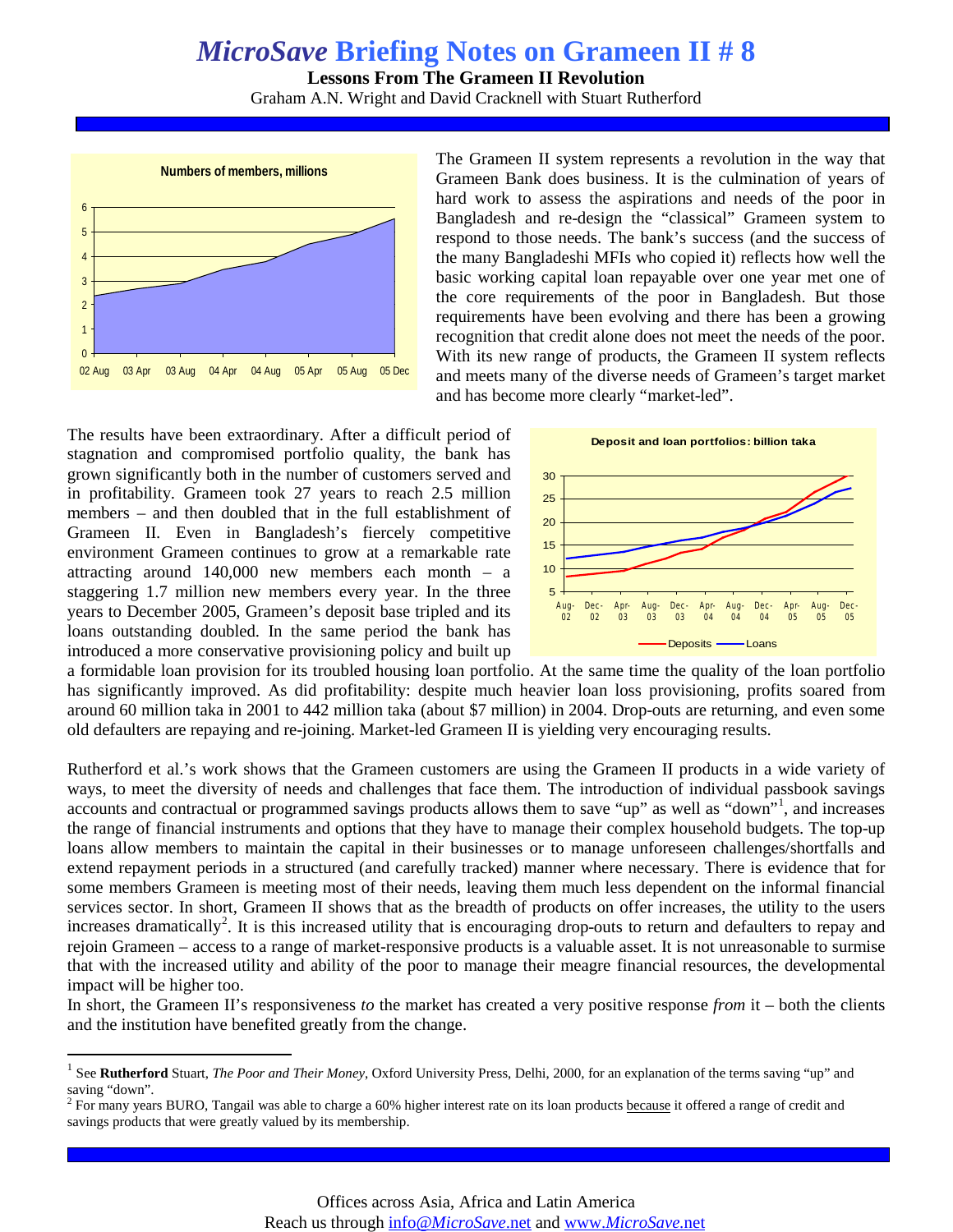## *MicroSave* **Briefing Notes on Grameen II # 8**

**Lessons From The Grameen II Revolution** 

Graham A.N. Wright and David Cracknell with Stuart Rutherford



The Grameen II system represents a revolution in the way that Grameen Bank does business. It is the culmination of years of hard work to assess the aspirations and needs of the poor in Bangladesh and re-design the "classical" Grameen system to respond to those needs. The bank's success (and the success of the many Bangladeshi MFIs who copied it) reflects how well the basic working capital loan repayable over one year met one of the core requirements of the poor in Bangladesh. But those requirements have been evolving and there has been a growing recognition that credit alone does not meet the needs of the poor. With its new range of products, the Grameen II system reflects and meets many of the diverse needs of Grameen's target market and has become more clearly "market-led".

The results have been extraordinary. After a difficult period of stagnation and compromised portfolio quality, the bank has grown significantly both in the number of customers served and in profitability. Grameen took 27 years to reach 2.5 million members – and then doubled that in the full establishment of Grameen II. Even in Bangladesh's fiercely competitive environment Grameen continues to grow at a remarkable rate attracting around 140,000 new members each month – a staggering 1.7 million new members every year. In the three years to December 2005, Grameen's deposit base tripled and its loans outstanding doubled. In the same period the bank has introduced a more conservative provisioning policy and built up



a formidable loan provision for its troubled housing loan portfolio. At the same time the quality of the loan portfolio has significantly improved. As did profitability: despite much heavier loan loss provisioning, profits soared from around 60 million taka in 2001 to 442 million taka (about \$7 million) in 2004. Drop-outs are returning, and even some old defaulters are repaying and re-joining. Market-led Grameen II is yielding very encouraging results.

Rutherford et al.'s work shows that the Grameen customers are using the Grameen II products in a wide variety of ways, to meet the diversity of needs and challenges that face them. The introduction of individual passbook savings accounts and contractual or programmed savings products allows them to save "up" as well as "down"<sup>[1](#page-0-0)</sup>, and increases the range of financial instruments and options that they have to manage their complex household budgets. The top-up loans allow members to maintain the capital in their businesses or to manage unforeseen challenges/shortfalls and extend repayment periods in a structured (and carefully tracked) manner where necessary. There is evidence that for some members Grameen is meeting most of their needs, leaving them much less dependent on the informal financial services sector. In short, Grameen II shows that as the breadth of products on offer increases, the utility to the users increases dramatically<sup>[2](#page-0-1)</sup>. It is this increased utility that is encouraging drop-outs to return and defaulters to repay and rejoin Grameen – access to a range of market-responsive products is a valuable asset. It is not unreasonable to surmise that with the increased utility and ability of the poor to manage their meagre financial resources, the developmental impact will be higher too.

In short, the Grameen II's responsiveness *to* the market has created a very positive response *from* it – both the clients and the institution have benefited greatly from the change.

<span id="page-0-0"></span><sup>&</sup>lt;sup>1</sup> See Rutherford Stuart, *The Poor and Their Money*, Oxford University Press, Delhi, 2000, for an explanation of the terms saving "up" and saving "down".

<span id="page-0-1"></span><sup>&</sup>lt;sup>2</sup> For many years BURO, Tangail was able to charge a 60% higher interest rate on its loan products **because** it offered a range of credit and <sup>2</sup> For many years BURO, Tangail was able to charge a 60% higher interest rate savings products that were greatly valued by its membership.